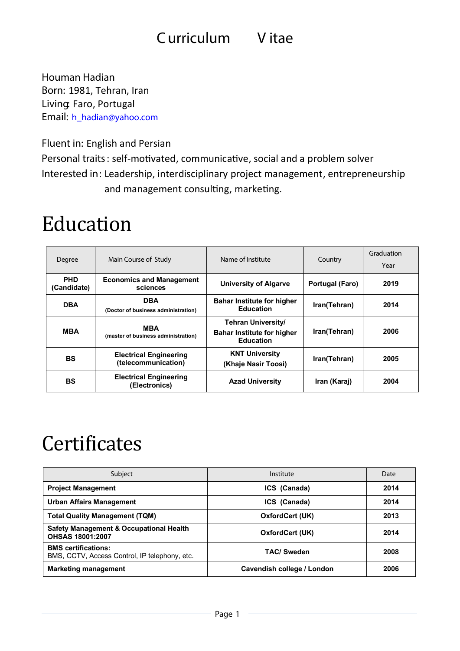### **Curriculum V itae**

**Houman Hadian Born:** 1981, Tehran, Iran **Living:** Faro, Portugal **Email: [h\\_hadian@yahoo.com](mailto:h_hadian@yahoo.com)**

**Fluent in:** English and Persian

**Personal traits**: self-motivated, communicative, social and a problem solver **Interested in**: Leadership, interdisciplinary project management, entrepreneurship and management consulting, marketing.

### Education

| Degree                    | Main Course of Study                                 | Name of Institute                                                           | Country         | Graduation<br>Year |
|---------------------------|------------------------------------------------------|-----------------------------------------------------------------------------|-----------------|--------------------|
| <b>PHD</b><br>(Candidate) | <b>Economics and Management</b><br>sciences          | <b>University of Algarve</b>                                                | Portugal (Faro) | 2019               |
| <b>DBA</b>                | <b>DBA</b><br>(Doctor of business administration)    | <b>Bahar Institute for higher</b><br><b>Education</b>                       | Iran(Tehran)    | 2014               |
| <b>MBA</b>                | <b>MBA</b><br>(master of business administration)    | Tehran University/<br><b>Bahar Institute for higher</b><br><b>Education</b> | Iran(Tehran)    | 2006               |
| <b>BS</b>                 | <b>Electrical Engineering</b><br>(telecommunication) | <b>KNT University</b><br>(Khaje Nasir Toosi)                                | Iran(Tehran)    | 2005               |
| <b>BS</b>                 | <b>Electrical Engineering</b><br>(Electronics)       | <b>Azad University</b>                                                      | Iran (Karaj)    | 2004               |

## **Certificates**

| Subject                                                                       | Institute                  | Date |
|-------------------------------------------------------------------------------|----------------------------|------|
| <b>Project Management</b>                                                     | ICS (Canada)               | 2014 |
| <b>Urban Affairs Management</b>                                               | ICS (Canada)               | 2014 |
| <b>Total Quality Management (TQM)</b>                                         | OxfordCert (UK)            | 2013 |
| <b>Safety Management &amp; Occupational Health</b><br><b>OHSAS 18001:2007</b> | OxfordCert (UK)            | 2014 |
| <b>BMS</b> certifications:<br>BMS, CCTV, Access Control, IP telephony, etc.   | <b>TAC/ Sweden</b>         | 2008 |
| <b>Marketing management</b>                                                   | Cavendish college / London | 2006 |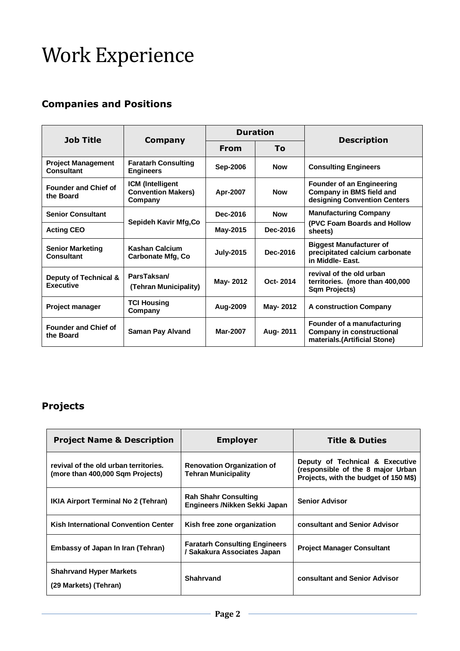# Work Experience

#### **Companies and Positions**

| <b>Job Title</b>                               | Company                                                         | <b>Duration</b>  |            |                                                                                                     |
|------------------------------------------------|-----------------------------------------------------------------|------------------|------------|-----------------------------------------------------------------------------------------------------|
|                                                |                                                                 | <b>From</b>      | Τo         | <b>Description</b>                                                                                  |
| <b>Project Management</b><br><b>Consultant</b> | <b>Faratarh Consulting</b><br><b>Engineers</b>                  | <b>Sep-2006</b>  | <b>Now</b> | <b>Consulting Engineers</b>                                                                         |
| <b>Founder and Chief of</b><br>the Board       | <b>ICM</b> (Intelligent<br><b>Convention Makers)</b><br>Company | Apr-2007         | <b>Now</b> | <b>Founder of an Engineering</b><br><b>Company in BMS field and</b><br>designing Convention Centers |
| <b>Senior Consultant</b>                       | Sepideh Kavir Mfg, Co                                           | Dec-2016         | <b>Now</b> | <b>Manufacturing Company</b>                                                                        |
| <b>Acting CEO</b>                              |                                                                 | May-2015         | Dec-2016   | (PVC Foam Boards and Hollow<br>sheets)                                                              |
| <b>Senior Marketing</b><br><b>Consultant</b>   | Kashan Calcium<br><b>Carbonate Mfg, Co</b>                      | <b>July-2015</b> | Dec-2016   | <b>Biggest Manufacturer of</b><br>precipitated calcium carbonate<br>in Middle- East.                |
| Deputy of Technical &<br><b>Executive</b>      | ParsTaksan/<br>(Tehran Municipality)                            | May- 2012        | Oct-2014   | revival of the old urban<br>territories. (more than 400,000<br>Sqm Projects)                        |
| <b>Project manager</b>                         | <b>TCI Housing</b><br>Company                                   | Aug-2009         | May- 2012  | <b>A construction Company</b>                                                                       |
| <b>Founder and Chief of</b><br>the Board       | <b>Saman Pay Alvand</b>                                         | Mar-2007         | Aug- 2011  | Founder of a manufacturing<br><b>Company in constructional</b><br>materials.(Artificial Stone)      |

#### **Projects**

| <b>Project Name &amp; Description</b>                                     | <b>Employer</b>                                                     | <b>Title &amp; Duties</b>                                                                                     |
|---------------------------------------------------------------------------|---------------------------------------------------------------------|---------------------------------------------------------------------------------------------------------------|
| revival of the old urban territories.<br>(more than 400,000 Sqm Projects) | <b>Renovation Organization of</b><br><b>Tehran Municipality</b>     | Deputy of Technical & Executive<br>(responsible of the 8 major Urban<br>Projects, with the budget of 150 M\$) |
| <b>IKIA Airport Terminal No 2 (Tehran)</b>                                | <b>Rah Shahr Consulting</b><br>Engineers /Nikken Sekki Japan        | <b>Senior Advisor</b>                                                                                         |
| <b>Kish International Convention Center</b>                               | Kish free zone organization                                         | consultant and Senior Advisor                                                                                 |
| Embassy of Japan In Iran (Tehran)                                         | <b>Faratarh Consulting Engineers</b><br>/ Sakakura Associates Japan | <b>Project Manager Consultant</b>                                                                             |
| <b>Shahrvand Hyper Markets</b><br>(29 Markets) (Tehran)                   | Shahrvand                                                           | consultant and Senior Advisor                                                                                 |